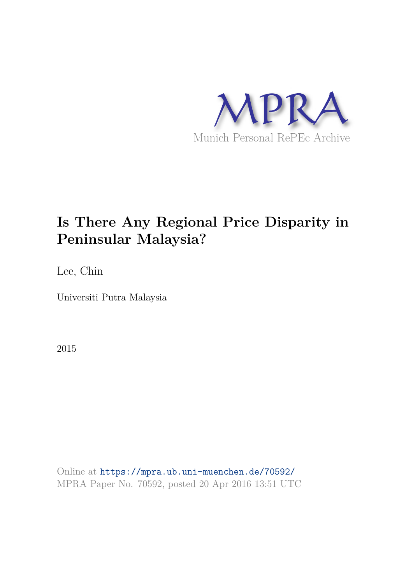

# **Is There Any Regional Price Disparity in Peninsular Malaysia?**

Lee, Chin

Universiti Putra Malaysia

2015

Online at https://mpra.ub.uni-muenchen.de/70592/ MPRA Paper No. 70592, posted 20 Apr 2016 13:51 UTC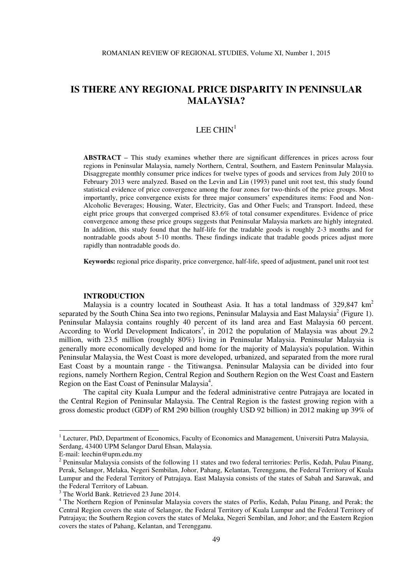# LEE CHIN<sup>1</sup>

**ABSTRACT –** This study examines whether there are significant differences in prices across four regions in Peninsular Malaysia, namely Northern, Central, Southern, and Eastern Peninsular Malaysia. Disaggregate monthly consumer price indices for twelve types of goods and services from July 2010 to February 2013 were analyzed. Based on the Levin and Lin (1993) panel unit root test, this study found statistical evidence of price convergence among the four zones for two-thirds of the price groups. Most importantly, price convergence exists for three major consumers' expenditures items: Food and Non-Alcoholic Beverages; Housing, Water, Electricity, Gas and Other Fuels; and Transport. Indeed, these eight price groups that converged comprised 83.6% of total consumer expenditures. Evidence of price convergence among these price groups suggests that Peninsular Malaysia markets are highly integrated. In addition, this study found that the half-life for the tradable goods is roughly 2-3 months and for nontradable goods about 5-10 months. These findings indicate that tradable goods prices adjust more rapidly than nontradable goods do.

**Keywords:** regional price disparity, price convergence, half-life, speed of adjustment, panel unit root test

# **INTRODUCTION**

Malaysia is a country located in Southeast Asia. It has a total landmass of  $329,847 \text{ km}^2$ separated by the South China Sea into two regions, Peninsular Malaysia and East Malaysia<sup>2</sup> (Figure 1). Peninsular Malaysia contains roughly 40 percent of its land area and East Malaysia 60 percent. According to World Development Indicators<sup>3</sup>, in 2012 the population of Malaysia was about 29.2 million, with 23.5 million (roughly 80%) living in Peninsular Malaysia. Peninsular Malaysia is generally more economically developed and home for the majority of Malaysia's population. Within Peninsular Malaysia, the West Coast is more developed, urbanized, and separated from the more rural East Coast by a mountain range - the Titiwangsa. Peninsular Malaysia can be divided into four regions, namely Northern Region, Central Region and Southern Region on the West Coast and Eastern Region on the East Coast of Peninsular Malaysia<sup>4</sup>.

The capital city Kuala Lumpur and the federal administrative centre Putrajaya are located in the Central Region of Peninsular Malaysia. The Central Region is the fastest growing region with a gross domestic product (GDP) of RM 290 billion (roughly USD 92 billion) in 2012 making up 39% of

<sup>1&</sup>lt;br><sup>1</sup> Lecturer, PhD, Department of Economics, Faculty of Economics and Management, Universiti Putra Malaysia, Serdang, 43400 UPM Selangor Darul Ehsan, Malaysia.

E-mail[: leechin@upm.edu.my](mailto:leechin@upm.edu.my) 

 $2$  Peninsular Malaysia consists of the following 11 states and two federal territories: Perlis, Kedah, Pulau Pinang, Perak, Selangor, Melaka, Negeri Sembilan, Johor, Pahang, Kelantan, Terengganu, the Federal Territory of Kuala Lumpur and the Federal Territory of Putrajaya. East Malaysia consists of the states of Sabah and Sarawak, and the Federal Territory of Labuan.

<sup>&</sup>lt;sup>3</sup> The World Bank. Retrieved 23 June 2014.

<sup>&</sup>lt;sup>4</sup> The Northern Region of Peninsular Malaysia covers the states of Perlis, Kedah, Pulau Pinang, and Perak; the Central Region covers the state of Selangor, the Federal Territory of Kuala Lumpur and the Federal Territory of Putrajaya; the Southern Region covers the states of Melaka, Negeri Sembilan, and Johor; and the Eastern Region covers the states of Pahang, Kelantan, and Terengganu.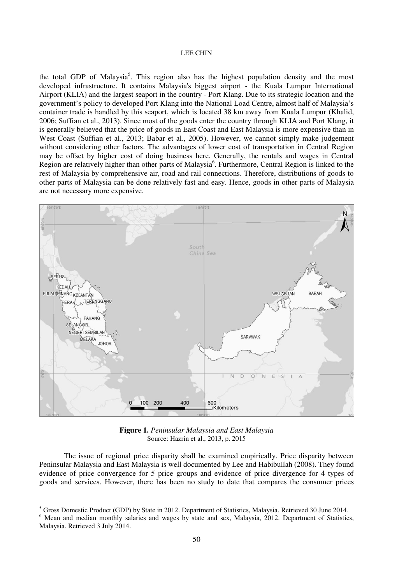the total GDP of Malaysia<sup>5</sup>. This region also has the highest population density and the most developed infrastructure. It contains Malaysia's biggest airport - the Kuala Lumpur International Airport (KLIA) and the largest seaport in the country - Port Klang. Due to its strategic location and the government's policy to developed Port Klang into the National Load Centre, almost half of Malaysia's container trade is handled by this seaport, which is located 38 km away from Kuala Lumpur (Khalid, 2006; Suffian et al., 2013). Since most of the goods enter the country through KLIA and Port Klang, it is generally believed that the price of goods in East Coast and East Malaysia is more expensive than in West Coast (Suffian et al., 2013; Babar et al., 2005). However, we cannot simply make judgement without considering other factors. The advantages of lower cost of transportation in Central Region may be offset by higher cost of doing business here. Generally, the rentals and wages in Central Region are relatively higher than other parts of Malaysia<sup>6</sup>. Furthermore, Central Region is linked to the rest of Malaysia by comprehensive air, road and rail connections. Therefore, distributions of goods to other parts of Malaysia can be done relatively fast and easy. Hence, goods in other parts of Malaysia are not necessary more expensive.



**Figure 1.** *Peninsular Malaysia and East Malaysia* Source: Hazrin et al., 2013, p. 2015

The issue of regional price disparity shall be examined empirically. Price disparity between Peninsular Malaysia and East Malaysia is well documented by Lee and Habibullah (2008). They found evidence of price convergence for 5 price groups and evidence of price divergence for 4 types of goods and services. However, there has been no study to date that compares the consumer prices

-

<sup>&</sup>lt;sup>5</sup> Gross Domestic Product (GDP) by State in 2012. Department of Statistics, Malaysia. Retrieved 30 June 2014.

<sup>&</sup>lt;sup>6</sup> Mean and median monthly salaries and wages by state and sex, Malaysia, 2012. Department of Statistics, Malaysia. Retrieved 3 July 2014.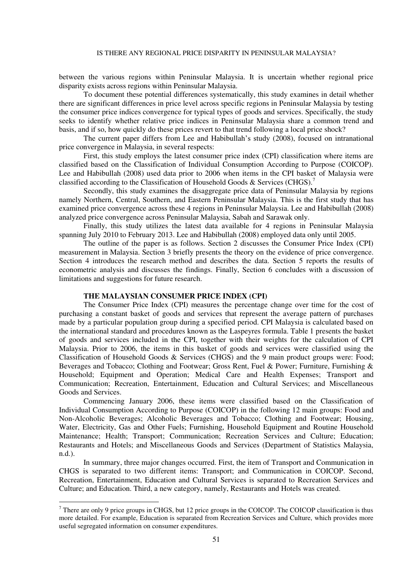between the various regions within Peninsular Malaysia. It is uncertain whether regional price disparity exists across regions within Peninsular Malaysia.

To document these potential differences systematically, this study examines in detail whether there are significant differences in price level across specific regions in Peninsular Malaysia by testing the consumer price indices convergence for typical types of goods and services. Specifically, the study seeks to identify whether relative price indices in Peninsular Malaysia share a common trend and basis, and if so, how quickly do these prices revert to that trend following a local price shock?

The current paper differs from Lee and Habibullah's study (2008), focused on intranational price convergence in Malaysia, in several respects:

First, this study employs the latest consumer price index (CPI) classification where items are classified based on the Classification of Individual Consumption According to Purpose (COICOP). Lee and Habibullah (2008) used data prior to 2006 when items in the CPI basket of Malaysia were classified according to the Classification of Household Goods & Services (CHGS).<sup>7</sup>

Secondly, this study examines the disaggregate price data of Peninsular Malaysia by regions namely Northern, Central, Southern, and Eastern Peninsular Malaysia. This is the first study that has examined price convergence across these 4 regions in Peninsular Malaysia. Lee and Habibullah (2008) analyzed price convergence across Peninsular Malaysia, Sabah and Sarawak only.

Finally, this study utilizes the latest data available for 4 regions in Peninsular Malaysia spanning July 2010 to February 2013. Lee and Habibullah (2008) employed data only until 2005.

The outline of the paper is as follows. Section 2 discusses the Consumer Price Index (CPI) measurement in Malaysia. Section 3 briefly presents the theory on the evidence of price convergence. Section 4 introduces the research method and describes the data. Section 5 reports the results of econometric analysis and discusses the findings. Finally, Section 6 concludes with a discussion of limitations and suggestions for future research.

# **THE MALAYSIAN CONSUMER PRICE INDEX (CPI)**

The Consumer Price Index (CPI) measures the percentage change over time for the cost of purchasing a constant basket of goods and services that represent the average pattern of purchases made by a particular population group during a specified period. CPI Malaysia is calculated based on the international standard and procedures known as the Laspeyres formula. Table 1 presents the basket of goods and services included in the CPI, together with their weights for the calculation of CPI Malaysia. Prior to 2006, the items in this basket of goods and services were classified using the Classification of Household Goods & Services (CHGS) and the 9 main product groups were: Food; Beverages and Tobacco; Clothing and Footwear; Gross Rent, Fuel & Power; Furniture, Furnishing & Household; Equipment and Operation; Medical Care and Health Expenses; Transport and Communication; Recreation, Entertainment, Education and Cultural Services; and Miscellaneous Goods and Services.

Commencing January 2006, these items were classified based on the Classification of Individual Consumption According to Purpose (COICOP) in the following 12 main groups: Food and Non-Alcoholic Beverages; Alcoholic Beverages and Tobacco; Clothing and Footwear; Housing, Water, Electricity, Gas and Other Fuels; Furnishing, Household Equipment and Routine Household Maintenance; Health; Transport; Communication; Recreation Services and Culture; Education; Restaurants and Hotels; and Miscellaneous Goods and Services (Department of Statistics Malaysia, n.d.).

In summary, three major changes occurred. First, the item of Transport and Communication in CHGS is separated to two different items: Transport; and Communication in COICOP. Second, Recreation, Entertainment, Education and Cultural Services is separated to Recreation Services and Culture; and Education. Third, a new category, namely, Restaurants and Hotels was created.

There are only 9 price groups in CHGS, but 12 price groups in the COICOP. The COICOP classification is thus more detailed. For example, Education is separated from Recreation Services and Culture, which provides more useful segregated information on consumer expenditures.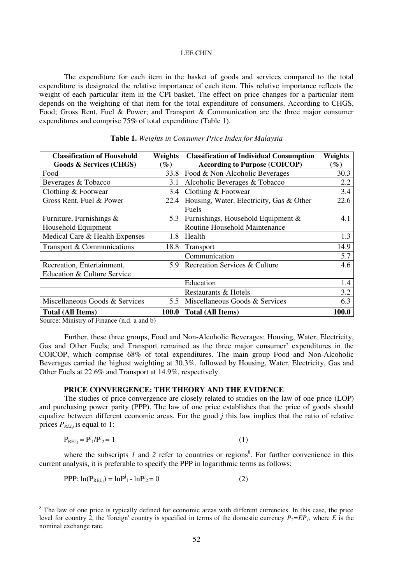The expenditure for each item in the basket of goods and services compared to the total expenditure is designated the relative importance of each item. This relative importance reflects the weight of each particular item in the CPI basket. The effect on price changes for a particular item depends on the weighting of that item for the total expenditure of consumers. According to CHGS, Food; Gross Rent, Fuel & Power; and Transport & Communication are the three major consumer expenditures and comprise 75% of total expenditure (Table 1).

| <b>Classification of Household</b> | Weights           | <b>Classification of Individual Consumption</b> | <b>Weights</b> |
|------------------------------------|-------------------|-------------------------------------------------|----------------|
| <b>Goods &amp; Services (CHGS)</b> | $\left(\%\right)$ | <b>According to Purpose (COICOP)</b>            | $(\%)$         |
| Food                               | 33.8              | Food & Non-Alcoholic Beverages                  | 30.3           |
| Beverages & Tobacco                | 3.1               | Alcoholic Beverages & Tobacco                   | 2.2            |
| Clothing & Footwear                | 3.4               | Clothing & Footwear                             | 3.4            |
| Gross Rent, Fuel & Power           | 22.4              | Housing, Water, Electricity, Gas & Other        | 22.6           |
|                                    |                   | Fuels                                           |                |
| Furniture, Furnishings $\&$        | 5.3               | Furnishings, Household Equipment $\&$           | 4.1            |
| Household Equipment                |                   | Routine Household Maintenance                   |                |
| Medical Care & Health Expenses     | 1.8               | Health                                          | 1.3            |
| Transport & Communications         | 18.8              | <b>Transport</b>                                | 14.9           |
|                                    |                   | Communication                                   | 5.7            |
| Recreation, Entertainment,         | 5.9               | Recreation Services & Culture                   | 4.6            |
| Education & Culture Service        |                   |                                                 |                |
|                                    |                   | Education                                       | 1.4            |
|                                    |                   | Restaurants & Hotels                            | 3.2            |
| Miscellaneous Goods & Services     | 5.5               | Miscellaneous Goods & Services                  | 6.3            |
| <b>Total (All Items)</b>           | 100.0             | <b>Total (All Items)</b>                        | 100.0          |

#### **Table 1.** *Weights in Consumer Price Index for Malaysia*

Source: Ministry of Finance (n.d. a and b)

-

 Further, these three groups, Food and Non-Alcoholic Beverages; Housing, Water, Electricity, Gas and Other Fuels; and Transport remained as the three major consumer' expenditures in the COICOP, which comprise 68% of total expenditures. The main group Food and Non-Alcoholic Beverages carried the highest weighting at 30.3%, followed by Housing, Water, Electricity, Gas and Other Fuels at 22.6% and Transport at 14.9%, respectively.

# **PRICE CONVERGENCE: THE THEORY AND THE EVIDENCE**

 The studies of price convergence are closely related to studies on the law of one price (LOP) and purchasing power parity (PPP). The law of one price establishes that the price of goods should equalize between different economic areas. For the good *j* this law implies that the ratio of relative prices  $P_{RELj}$  is equal to 1:

$$
P_{RELj} = P^{j}{}_{1}/P^{j}{}_{2} = 1
$$
 (1)

where the subscripts  $I$  and  $2$  refer to countries or regions<sup>8</sup>. For further convenience in this current analysis, it is preferable to specify the PPP in logarithmic terms as follows:

PPP:  $ln(P_{RELj}) = lnP^{j} - lnP^{j} = 0$  (2)

<sup>&</sup>lt;sup>8</sup> The law of one price is typically defined for economic areas with different currencies. In this case, the price level for country 2, the 'foreign' country is specified in terms of the domestic currency  $P_2 = EP_1$ , where *E* is the nominal exchange rate.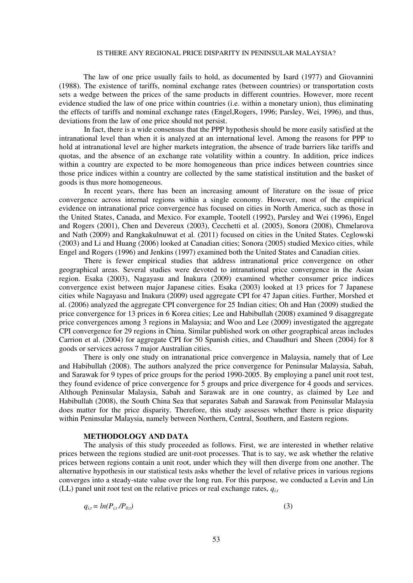The law of one price usually fails to hold, as documented by Isard (1977) and Giovannini (1988). The existence of tariffs, nominal exchange rates (between countries) or transportation costs sets a wedge between the prices of the same products in different countries. However, more recent evidence studied the law of one price within countries (i.e. within a monetary union), thus eliminating the effects of tariffs and nominal exchange rates (Engel,Rogers, 1996; Parsley, Wei, 1996), and thus, deviations from the law of one price should not persist.

In fact, there is a wide consensus that the PPP hypothesis should be more easily satisfied at the intranational level than when it is analyzed at an international level. Among the reasons for PPP to hold at intranational level are higher markets integration, the absence of trade barriers like tariffs and quotas, and the absence of an exchange rate volatility within a country. In addition, price indices within a country are expected to be more homogeneous than price indices between countries since those price indices within a country are collected by the same statistical institution and the basket of goods is thus more homogeneous.

In recent years, there has been an increasing amount of literature on the issue of price convergence across internal regions within a single economy. However, most of the empirical evidence on intranational price convergence has focused on cities in North America, such as those in the United States, Canada, and Mexico. For example, Tootell (1992), Parsley and Wei (1996), Engel and Rogers (2001), Chen and Devereux (2003), Cecchetti et al. (2005), Sonora (2008), Chmelarova and Nath (2009) and Rangkakulnuwat et al*.* (2011) focused on cities in the United States. Ceglowski (2003) and Li and Huang (2006) looked at Canadian cities; Sonora (2005) studied Mexico cities, while Engel and Rogers (1996) and Jenkins (1997) examined both the United States and Canadian cities.

There is fewer empirical studies that address intranational price convergence on other geographical areas. Several studies were devoted to intranational price convergence in the Asian region. Esaka (2003), Nagayasu and Inakura (2009) examined whether consumer price indices convergence exist between major Japanese cities. Esaka (2003) looked at 13 prices for 7 Japanese cities while Nagayasu and Inakura (2009) used aggregate CPI for 47 Japan cities. Further, Morshed et al. (2006) analyzed the aggregate CPI convergence for 25 Indian cities; Oh and Han (2009) studied the price convergence for 13 prices in 6 Korea cities; Lee and Habibullah (2008) examined 9 disaggregate price convergences among 3 regions in Malaysia; and Woo and Lee (2009) investigated the aggregate CPI convergence for 29 regions in China. Similar published work on other geographical areas includes Carrion et al. (2004) for aggregate CPI for 50 Spanish cities, and Chaudhuri and Sheen (2004) for 8 goods or services across 7 major Australian cities.

There is only one study on intranational price convergence in Malaysia, namely that of Lee and Habibullah (2008). The authors analyzed the price convergence for Peninsular Malaysia, Sabah, and Sarawak for 9 types of price groups for the period 1990-2005. By employing a panel unit root test, they found evidence of price convergence for 5 groups and price divergence for 4 goods and services. Although Peninsular Malaysia, Sabah and Sarawak are in one country, as claimed by Lee and Habibullah (2008), the South China Sea that separates Sabah and Sarawak from Peninsular Malaysia does matter for the price disparity. Therefore, this study assesses whether there is price disparity within Peninsular Malaysia, namely between Northern, Central, Southern, and Eastern regions.

# **METHODOLOGY AND DATA**

The analysis of this study proceeded as follows. First, we are interested in whether relative prices between the regions studied are unit-root processes. That is to say, we ask whether the relative prices between regions contain a unit root, under which they will then diverge from one another. The alternative hypothesis in our statistical tests asks whether the level of relative prices in various regions converges into a steady-state value over the long run. For this purpose, we conducted a Levin and Lin (LL) panel unit root test on the relative prices or real exchange rates,  $q_{it}$ 

$$
q_{i,t} = \ln(P_{i,t}/P_{0,t})
$$
\n
$$
\tag{3}
$$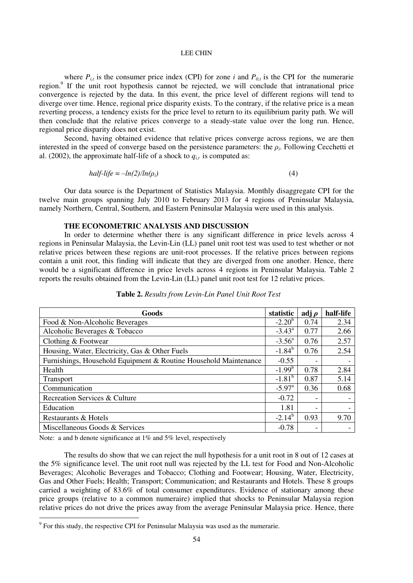where  $P_{i,t}$  is the consumer price index (CPI) for zone *i* and  $P_{0,t}$  is the CPI for the numerarie region.<sup>9</sup> If the unit root hypothesis cannot be rejected, we will conclude that intranational price convergence is rejected by the data. In this event, the price level of different regions will tend to diverge over time. Hence, regional price disparity exists. To the contrary, if the relative price is a mean reverting process, a tendency exists for the price level to return to its equilibrium parity path. We will then conclude that the relative prices converge to a steady-state value over the long run. Hence, regional price disparity does not exist.

Second, having obtained evidence that relative prices converge across regions, we are then interested in the speed of converge based on the persistence parameters: the  $\rho_i$ . Following Cecchetti et al. (2002), the approximate half-life of a shock to  $q_{i,t}$  is computed as:

$$
half-life = -\ln(2)/\ln(\rho_i) \tag{4}
$$

Our data source is the Department of Statistics Malaysia. Monthly disaggregate CPI for the twelve main groups spanning July 2010 to February 2013 for 4 regions of Peninsular Malaysia, namely Northern, Central, Southern, and Eastern Peninsular Malaysia were used in this analysis.

# **THE ECONOMETRIC ANALYSIS AND DISCUSSION**

In order to determine whether there is any significant difference in price levels across 4 regions in Peninsular Malaysia, the Levin-Lin (LL) panel unit root test was used to test whether or not relative prices between these regions are unit-root processes. If the relative prices between regions contain a unit root, this finding will indicate that they are diverged from one another. Hence, there would be a significant difference in price levels across 4 regions in Peninsular Malaysia. Table 2 reports the results obtained from the Levin-Lin (LL) panel unit root test for 12 relative prices.

| Goods                                                            |                      | adj $\rho$               | half-life |
|------------------------------------------------------------------|----------------------|--------------------------|-----------|
| Food & Non-Alcoholic Beverages                                   |                      | 0.74                     | 2.34      |
| Alcoholic Beverages & Tobacco                                    |                      | 0.77                     | 2.66      |
| Clothing & Footwear                                              | $-3.56^{\circ}$      | 0.76                     | 2.57      |
| Housing, Water, Electricity, Gas & Other Fuels                   |                      | 0.76                     | 2.54      |
| Furnishings, Household Equipment & Routine Household Maintenance | $-0.55$              |                          |           |
| Health                                                           | $-1.99^{b}$          | 0.78                     | 2.84      |
| <b>Transport</b>                                                 | $-1.81^{\rm b}$      | 0.87                     | 5.14      |
| Communication                                                    | $-5.97$ <sup>a</sup> | 0.36                     | 0.68      |
| Recreation Services & Culture                                    | $-0.72$              |                          |           |
| Education                                                        | 1.81                 | $\overline{\phantom{0}}$ |           |
| Restaurants & Hotels                                             |                      | 0.93                     | 9.70      |
| Miscellaneous Goods & Services                                   | $-0.78$              |                          |           |

**Table 2.** *Results from Levin-Lin Panel Unit Root Test* 

Note: a and b denote significance at 1% and 5% level, respectively

-

The results do show that we can reject the null hypothesis for a unit root in 8 out of 12 cases at the 5% significance level. The unit root null was rejected by the LL test for Food and Non-Alcoholic Beverages; Alcoholic Beverages and Tobacco; Clothing and Footwear; Housing, Water, Electricity, Gas and Other Fuels; Health; Transport; Communication; and Restaurants and Hotels. These 8 groups carried a weighting of 83.6% of total consumer expenditures. Evidence of stationary among these price groups (relative to a common numeraire) implied that shocks to Peninsular Malaysia region relative prices do not drive the prices away from the average Peninsular Malaysia price. Hence, there

 $9$  For this study, the respective CPI for Peninsular Malaysia was used as the numerarie.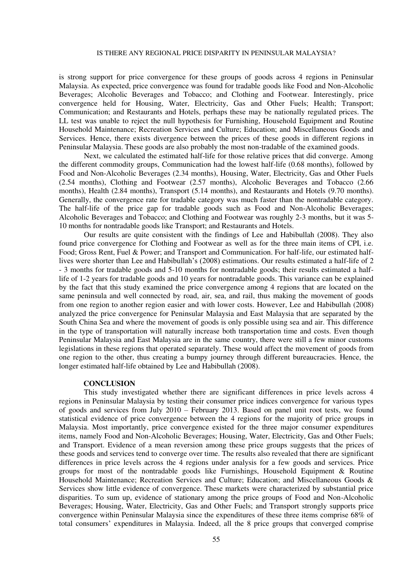is strong support for price convergence for these groups of goods across 4 regions in Peninsular Malaysia. As expected, price convergence was found for tradable goods like Food and Non-Alcoholic Beverages; Alcoholic Beverages and Tobacco; and Clothing and Footwear. Interestingly, price convergence held for Housing, Water, Electricity, Gas and Other Fuels; Health; Transport; Communication; and Restaurants and Hotels, perhaps these may be nationally regulated prices. The LL test was unable to reject the null hypothesis for Furnishing, Household Equipment and Routine Household Maintenance; Recreation Services and Culture; Education; and Miscellaneous Goods and Services. Hence, there exists divergence between the prices of these goods in different regions in Peninsular Malaysia. These goods are also probably the most non-tradable of the examined goods.

Next, we calculated the estimated half-life for those relative prices that did converge. Among the different commodity groups, Communication had the lowest half-life (0.68 months), followed by Food and Non-Alcoholic Beverages (2.34 months), Housing, Water, Electricity, Gas and Other Fuels (2.54 months), Clothing and Footwear (2.57 months), Alcoholic Beverages and Tobacco (2.66 months), Health (2.84 months), Transport (5.14 months), and Restaurants and Hotels (9.70 months). Generally, the convergence rate for tradable category was much faster than the nontradable category. The half-life of the price gap for tradable goods such as Food and Non-Alcoholic Beverages; Alcoholic Beverages and Tobacco; and Clothing and Footwear was roughly 2-3 months, but it was 5- 10 months for nontradable goods like Transport; and Restaurants and Hotels.

Our results are quite consistent with the findings of Lee and Habibullah (2008). They also found price convergence for Clothing and Footwear as well as for the three main items of CPI, i.e. Food; Gross Rent, Fuel & Power; and Transport and Communication. For half-life, our estimated halflives were shorter than Lee and Habibullah's (2008) estimations. Our results estimated a half-life of 2 - 3 months for tradable goods and 5-10 months for nontradable goods; their results estimated a halflife of 1-2 years for tradable goods and 10 years for nontradable goods. This variance can be explained by the fact that this study examined the price convergence among 4 regions that are located on the same peninsula and well connected by road, air, sea, and rail, thus making the movement of goods from one region to another region easier and with lower costs. However, Lee and Habibullah (2008) analyzed the price convergence for Peninsular Malaysia and East Malaysia that are separated by the South China Sea and where the movement of goods is only possible using sea and air. This difference in the type of transportation will naturally increase both transportation time and costs. Even though Peninsular Malaysia and East Malaysia are in the same country, there were still a few minor customs legislations in these regions that operated separately. These would affect the movement of goods from one region to the other, thus creating a bumpy journey through different bureaucracies. Hence, the longer estimated half-life obtained by Lee and Habibullah (2008).

# **CONCLUSION**

This study investigated whether there are significant differences in price levels across 4 regions in Peninsular Malaysia by testing their consumer price indices convergence for various types of goods and services from July 2010 – February 2013. Based on panel unit root tests, we found statistical evidence of price convergence between the 4 regions for the majority of price groups in Malaysia. Most importantly, price convergence existed for the three major consumer expenditures items, namely Food and Non-Alcoholic Beverages; Housing, Water, Electricity, Gas and Other Fuels; and Transport. Evidence of a mean reversion among these price groups suggests that the prices of these goods and services tend to converge over time. The results also revealed that there are significant differences in price levels across the 4 regions under analysis for a few goods and services. Price groups for most of the nontradable goods like Furnishings, Household Equipment & Routine Household Maintenance; Recreation Services and Culture; Education; and Miscellaneous Goods & Services show little evidence of convergence. These markets were characterized by substantial price disparities. To sum up, evidence of stationary among the price groups of Food and Non-Alcoholic Beverages; Housing, Water, Electricity, Gas and Other Fuels; and Transport strongly supports price convergence within Peninsular Malaysia since the expenditures of these three items comprise 68% of total consumers' expenditures in Malaysia. Indeed, all the 8 price groups that converged comprise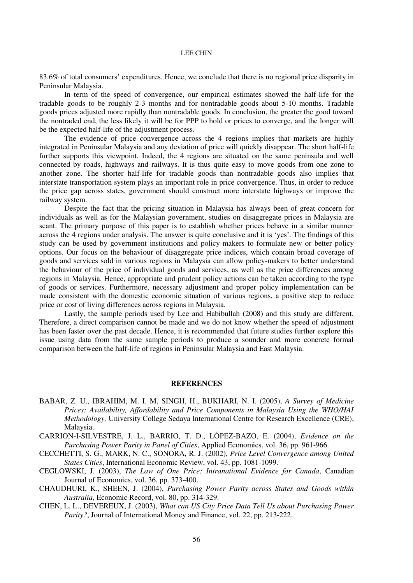83.6% of total consumers' expenditures. Hence, we conclude that there is no regional price disparity in Peninsular Malaysia.

In term of the speed of convergence, our empirical estimates showed the half-life for the tradable goods to be roughly 2-3 months and for nontradable goods about 5-10 months. Tradable goods prices adjusted more rapidly than nontradable goods. In conclusion, the greater the good toward the nontraded end, the less likely it will be for PPP to hold or prices to converge, and the longer will be the expected half-life of the adjustment process.

The evidence of price convergence across the 4 regions implies that markets are highly integrated in Peninsular Malaysia and any deviation of price will quickly disappear. The short half-life further supports this viewpoint. Indeed, the 4 regions are situated on the same peninsula and well connected by roads, highways and railways. It is thus quite easy to move goods from one zone to another zone. The shorter half-life for tradable goods than nontradable goods also implies that interstate transportation system plays an important role in price convergence. Thus, in order to reduce the price gap across states, government should construct more interstate highways or improve the railway system.

Despite the fact that the pricing situation in Malaysia has always been of great concern for individuals as well as for the Malaysian government, studies on disaggregate prices in Malaysia are scant. The primary purpose of this paper is to establish whether prices behave in a similar manner across the 4 regions under analysis. The answer is quite conclusive and it is 'yes'. The findings of this study can be used by government institutions and policy-makers to formulate new or better policy options. Our focus on the behaviour of disaggregate price indices, which contain broad coverage of goods and services sold in various regions in Malaysia can allow policy-makers to better understand the behaviour of the price of individual goods and services, as well as the price differences among regions in Malaysia. Hence, appropriate and prudent policy actions can be taken according to the type of goods or services. Furthermore, necessary adjustment and proper policy implementation can be made consistent with the domestic economic situation of various regions, a positive step to reduce price or cost of living differences across regions in Malaysia.

Lastly, the sample periods used by Lee and Habibullah (2008) and this study are different. Therefore, a direct comparison cannot be made and we do not know whether the speed of adjustment has been faster over the past decade. Hence, it is recommended that future studies further explore this issue using data from the same sample periods to produce a sounder and more concrete formal comparison between the half-life of regions in Peninsular Malaysia and East Malaysia.

# **REFERENCES**

- BABAR, Z. U., IBRAHIM, M. I. M, SINGH, H., BUKHARI, N. I. (2005), *A Survey of Medicine Prices: Availability, Affordability and Price Components in Malaysia Using the WHO/HAI Methodology,* University College Sedaya International Centre for Research Excellence (CRE), Malaysia.
- CARRION-I-SILVESTRE, J. L., BARRIO, T. D., LÓPEZ-BAZO, E. (2004), *Evidence on the Purchasing Power Parity in Panel of Cities*, Applied Economics, vol. 36, pp. 961-966.
- CECCHETTI, S. G., MARK, N. C., SONORA, R. J. (2002), *Price Level Convergence among United States Cities*, International Economic Review, vol. 43, pp. 1081-1099.
- CEGLOWSKI, J. (2003), *The Law of One Price: Intranational Evidence for Canada*, Canadian Journal of Economics, vol. 36, pp. 373-400.
- CHAUDHURI, K., SHEEN, J. (2004), *Purchasing Power Parity across States and Goods within Australia*, Economic Record, vol. 80, pp. 314-329.
- CHEN, L. L., DEVEREUX, J. (2003), *What can US City Price Data Tell Us about Purchasing Power Parity?*, Journal of International Money and Finance, vol. 22, pp. 213-222.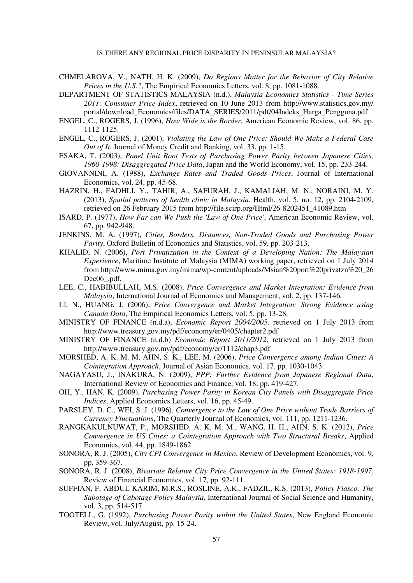- CHMELAROVA, V., NATH, H. K. (2009), *Do Regions Matter for the Behavior of City Relative Prices in the U.S.?*, The Empirical Economics Letters, vol. 8, pp. 1081-1088.
- DEPARTMENT OF STATISTICS MALAYSIA (n.d.), *Malaysia Economics Statistics Time Series 2011: Consumer Price Index*, retrieved on 10 June 2013 from http://www.statistics.gov.my/ portal/download\_Economics/files/DATA\_SERIES/2011/pdf/04Indeks\_Harga\_Pengguna.pdf
- ENGEL, C., ROGERS, J. (1996), *How Wide is the Border*, American Economic Review, vol. 86, pp. 1112-1125.
- ENGEL, C., ROGERS, J. (2001), *Violating the Law of One Price: Should We Make a Federal Case Out of It*, Journal of Money Credit and Banking, vol. 33, pp. 1-15.
- ESAKA, T. (2003), *Panel Unit Root Tests of Purchasing Power Parity between Japanese Cities, 1960-1998: Disaggregated Price Data*, Japan and the World Economy, vol. 15, pp. 233-244.
- GIOVANNINI, A. (1988), *Exchange Rates and Traded Goods Prices*, Journal of International Economics, vol. 24, pp. 45-68.
- HAZRIN, H., FADHLI, Y., TAHIR, A., SAFURAH, J., KAMALIAH, M. N., NORAINI, M. Y. (2013), *Spatial patterns of health clinic in Malaysia*, Health, vol. 5, no. 12, pp. 2104-2109, retrieved on 26 February 2015 from http://file.scirp.org/Html/26-8202451\_41089.htm
- ISARD, P. (1977), *How Far can We Push the 'Law of One Price'*, American Economic Review, vol. 67, pp. 942-948.
- JENKINS, M. A. (1997), *Cities, Borders, Distances, Non-Traded Goods and Purchasing Power Parity*, Oxford Bulletin of Economics and Statistics, vol. 59, pp. 203-213.
- KHALID, N. (2006), *Port Privatization in the Context of a Developing Nation: The Malaysian Experience*, Maritime Institute of Malaysia (MIMA) working paper, retrieved on 1 July 2014 from http://www.mima.gov.my/mima/wp-content/uploads/Msian%20port%20privatzn%20\_26 Dec06 .pdf,
- LEE, C., HABIBULLAH, M.S. (2008), *Price Convergence and Market Integration: Evidence from Malaysia*, International Journal of Economics and Management, vol. 2, pp. 137-146*.*
- LI, N., HUANG, J. (2006), *Price Convergence and Market Integration: Strong Evidence using Canada Data*, The Empirical Economics Letters, vol. 5, pp. 13-28.
- MINISTRY OF FINANCE (n.d.a), *Economic Report 2004/2005*. retrieved on 1 July 2013 from http://www.treasury.gov.my/pdf/economy/er/0405/chapter2.pdf
- MINISTRY OF FINANCE (n.d.b) *Economic Report 2011/2012*, retrieved on 1 July 2013 from http://www.treasury.gov.my/pdf/economy/er/1112/chap3.pdf
- MORSHED, A. K. M. M, AHN, S. K., LEE, M. (2006), *Price Convergence among Indian Cities: A Cointegration Approach*, Journal of Asian Economics, vol. 17, pp. 1030-1043.
- NAGAYASU, J., INAKURA, N. (2009), *PPP: Further Evidence from Japanese Regional Data*, International Review of Economics and Finance, vol. 18, pp. 419-427.
- OH, Y., HAN, K. (2009), *Purchasing Power Parity in Korean City Panels with Disaggregate Price Indices*, Applied Economics Letters, vol. 16, pp. 45-49.
- PARSLEY, D. C., WEI, S. J. (1996), *Convergence to the Law of One Price without Trade Barriers of Currency Fluctuations*, The Quarterly Journal of Economics, vol. 111, pp. 1211-1236.
- RANGKAKULNUWAT, P., MORSHED, A. K. M. M., WANG, H. H., AHN, S. K. (2012), *Price Convergence in US Cities: a Cointegration Approach with Two Structural Breaks*, Applied Economics, vol. 44, pp. 1849-1862.
- SONORA, R. J. (2005), *City CPI Convergence in Mexico*, Review of Development Economics, vol. 9, pp. 359-367.
- SONORA, R. J. (2008), *Bivariate Relative City Price Convergence in the United States: 1918-1997*, Review of Financial Economics, vol. 17, pp. 92-111.
- SUFFIAN, F, ABDUL KARIM, M.R.S., ROSLINE, A.K., FADZIL, K.S. (2013), *Policy Fiasco: The Sabotage of Cabotage Policy Malaysia*, International Journal of Social Science and Humanity, vol. 3, pp. 514-517.
- TOOTELL, G. (1992), *Purchasing Power Parity within the United States*, New England Economic Review, vol. July/August, pp. 15-24.